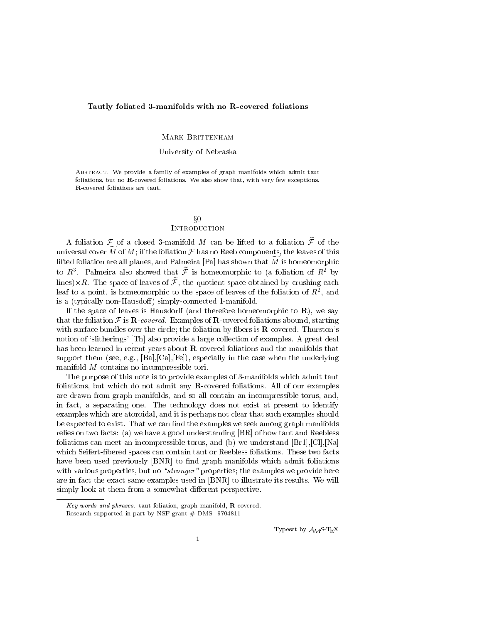## Tautly foliated 3-manifolds with no R-covered foliations

#### MARK BRITTENHAM

## University of Nebraska

ABSTRACT. We provide a family of examples of graph manifolds which admit taut foliations, but no R-covered foliations. We also show that, with very few exceptions, R-covered foliations are taut.

## $\S0$ **INTRODUCTION**

A foliation  $\mathcal F$  of a closed 3-manifold M can be lifted to a foliation  $\widetilde{\mathcal F}$  of the universal cover  $\widetilde{M}$  of  $M$ ; if the foliation  $\mathcal F$  has no Reeb components, the leaves of this lifted foliation are all planes, and Palmeira [Pa] has shown that  $\widetilde{M}$  is homeomorphic to  $\kappa$  - Palmeira also snowed that F is nomeomorphic to (a foliation of  $\kappa$  - by  $\,$ lines) $\times R$ . The space of leaves of F, the quotient space obtained by crushing each leaf to a point, is nomeomorphic to the space of leaves of the foliation of  $R$  , and is a (typically non-Hausdoff) simply-connected 1-manifold.

If the space of leaves is Hausdorff (and therefore homeomorphic to **), we say** that the foliation  $\mathcal F$  is  $\mathbb R$ -covered. Examples of  $\mathbb R$ -covered foliations abound, starting with surface bundles over the circle; the foliation by fibers is **-covered. Thurston's** notion of 'slitherings' [Th] also provide a large collection of examples. A great deal has been learned in recent years about R-covered foliations and the manifolds that support them (see, e.g.,  $[\text{Ba}],[\text{Ca}],[\text{Fe}]$ ), especially in the case when the underlying manifold M contains no incompressible tori.

The purpose of this note is to provide examples of 3-manifolds which admit taut foliations, but which do not admit any R-covered foliations. All of our examples are drawn from graph manifolds, and so all contain an incompressible torus, and, in fact, a separating one. The technology does not exist at present to identify examples which are atoroidal, and it is perhaps not clear that such examples should be expected to exist. That we can find the examples we seek among graph manifolds relies on two facts: (a) we have a good understanding [BR] of how taut and Reebless foliations can meet an incompressible torus, and (b) we understand  $[Br1],[Cl], [Na]$ which Seifert-bered spaces can contain taut or Reebless foliations. These two facts have been used previously [BNR] to find graph manifolds which admit foliations with various properties, but no "stronger" properties; the examples we provide here are in fact the exact same examples used in [BNR] to illustrate its results. We will simply look at them from a somewhat different perspective.

Typeset by  $A_{\mathcal{M}}S$ -T<sub>E</sub>X

Key words and phrases, taut foliation, graph manifold,  $\bf{R}$ -covered. Research supported in part by NSF grant  $#$  DMS-9704811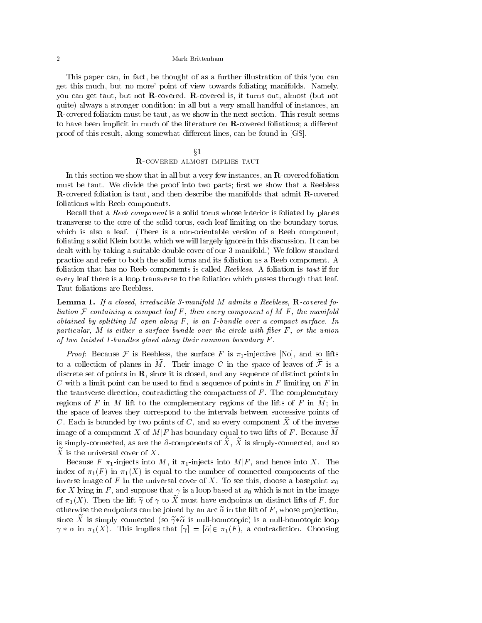This paper can, in fact, be thought of as a further illustration of this `you can get this much, but no more' point of view towards foliating manifolds. Namely, you can get taut, but not R-covered. R-covered is, it turns out, almost (but not quite) always a stronger condition: in all but a very small handful of instances, an R-covered foliation must be taut, as we show in the next section. This result seems to have been implicit in much of the literature on **R**-covered foliations; a different proof of this result, along somewhat different lines, can be found in [GS].

# $\S1$ <sup>R</sup>-covered almost implies taut

In this section we show that in all but a very few instances, an R-covered foliation must be taut. We divide the proof into two parts; first we show that a Reebless R-covered foliation is taut, and then describe the manifolds that admit R-covered foliations with Reeb components.

Recall that a Reeb component is a solid torus whose interior is foliated by planes transverse to the core of the solid torus, each leaf limiting on the boundary torus, which is also a leaf. (There is a non-orientable version of a Reeb component, foliating a solid Klein bottle, which we will largely ignore in this discussion. It can be dealt with by taking a suitable double cover of our 3-manifold.) We follow standard practice and refer to both the solid torus and its foliation as a Reeb component. A foliation that has no Reeb components is called Reebless. A foliation is taut if for every leaf there is a loop transverse to the foliation which passes through that leaf. Taut foliations are Reebless.

**Lemma 1.** If a closed, irreducible 3-manifold M admits a Reebless,  $\mathbf{R}$ -covered foliation  $\mathcal F$  containing a compact leaf  $F$ , then every component of  $M/F$ , the manifold obtained by splitting  $M$  open along  $F$ , is an I-bundle over a compact surface. In particular, M is either a surface bundle over the circle with fiber  $F$ , or the union of two twisted I-bundles glued along their common boundary  $F$ .

*Proof:* Because F is Reebless, the surface F is  $\pi_1$ -injective [No], and so lifts to a collection of planes in  $\widetilde{M}$ . Their image C in the space of leaves of  $\widetilde{\mathcal{F}}$  is a discrete set of points in **, since it is closed, and any sequence of distinct points in**  $C$  with a limit point can be used to find a sequence of points in  $F$  limiting on  $F$  in the transverse direction, contradicting the compactness of  $F$ . The complementary regions of F in M lift to the complementary regions of the lifts of F in  $\widetilde{M}$ ; in the space of leaves they correspond to the intervals between successive points of C. Each is bounded by two points of C, and so every component  $\tilde{X}$  of the inverse image of a component X of  $M|F$  has boundary equal to two lifts of F. Because  $\overline{M}$ is simply-connected, as are the  $\partial$ -components of  $\widetilde{X}$ ,  $\widetilde{X}$  is simply-connected, and so  $X$  is the universal cover of  $X$ .

Because F  $\pi_1$ -injects into M, it  $\pi_1$ -injects into M|F, and hence into X. The index of  $\pi_1(F)$  in  $\pi_1(X)$  is equal to the number of connected components of the inverse image of F in the universal cover of X. To see this, choose a basepoint  $x_0$ for X lying in F, and suppose that  $\gamma$  is a loop based at  $x_0$  which is not in the image of  $\pi_1(X)$ . Then the lift  $\tilde{\gamma}$  of  $\gamma$  to  $\tilde{X}$  must have endpoints on distinct lifts of F, for otherwise the endpoints can be joined by an arc  $\tilde{\alpha}$  in the lift of F, whose projection, since  $\tilde{X}$  is simply connected (so  $\tilde{\gamma} * \tilde{\alpha}$  is null-homotopic) is a null-homotopic loop  $\gamma * \alpha$  in  $\pi_1(X)$ . This implies that  $[\gamma] = [\bar{\alpha}] \in \pi_1(F)$ , a contradiction. Choosing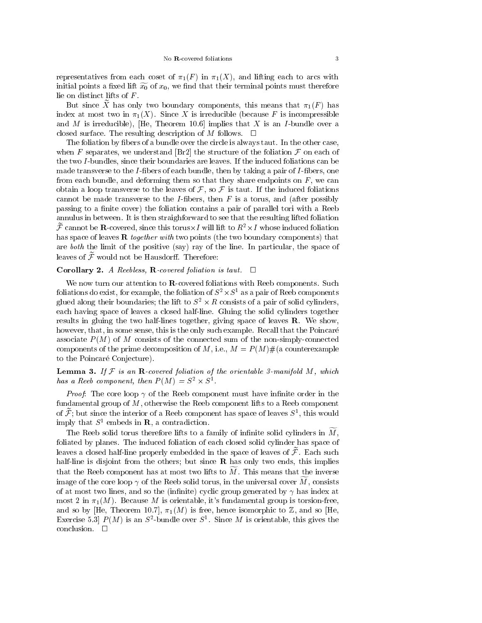representatives from each coset of  $\pi_1(F)$  in  $\pi_1(X)$ , and lifting each to arcs with initial points a fixed lift  $\widetilde{x_0}$  of  $x_0$ , we find that their terminal points must therefore lie on distinct lifts of F .

But since  $\tilde{X}$  has only two boundary components, this means that  $\pi_1(F)$  has index at most two in  $\pi_1(X)$ . Since X is irreducible (because F is incompressible and M is irreducible), [He, Theorem 10.6] implies that X is an I-bundle over a closed surface. The resulting description of M follows.  $\Box$ 

The foliation by fibers of a bundle over the circle is always taut. In the other case, when F separates, we understand [Br2] the structure of the foliation  $\mathcal F$  on each of the two I -bundles, since their boundaries are leaves. If the induced foliations can be made transverse to the  $I$ -fibers of each bundle, then by taking a pair of  $I$ -fibers, one from each bundle, and deforming them so that they share endpoints on  $F$ , we can obtain a loop transverse to the leaves of  $\mathcal F$ , so  $\mathcal F$  is taut. If the induced foliations cannot be made transverse to the *I*-fibers, then  $F$  is a torus, and (after possibly passing to a finite cover) the foliation contains a pair of parallel tori with a Reeb annulus in between. It is then straighforward to see that the resulting lifted foliation  $\mathcal F$  cannot be  $\mathbf R$ -covered, since this torus  $x_I$  will lift to  $R_+ \times I$  whose induced foliation has space of leaves  $\bf{R}$  together with two points (the two boundary components) that are both the limit of the positive (say) ray of the line. In particular, the space of leaves of  $\widetilde{\mathcal{F}}$  would not be Hausdorff. Therefore:

#### **Corollary 2.** A Reebless, **R**-covered foliation is taut.  $\Box$

We now turn our attention to **R**-covered foliations with Reeb components. Such foliations do exist, for example, the foliation of  $5^- \times 5^-$  as a pair of Reed components grued along their boundaries; the lift to  $S^- \times R$  consists of a pair of solid cylinders, each having space of leaves a closed half-line. Gluing the solid cylinders together results in gluing the two half-lines together, giving space of leaves R. We show, however, that, in some sense, this is the only such example. Recall that the Poincaré associate  $P(M)$  of M consists of the connected sum of the non-simply-connected components of the prime decomposition of M, i.e.,  $M = P(M) \#(a$  counterexample to the Poincaré Conjecture).

**Lemma 3.** If  $\mathcal F$  is an  $\mathbb R$ -covered foliation of the orientable 3-manifold M, which has a need component, then  $P(M) = S^{-} \times S^{-}$ .

*Proof*: The core loop  $\gamma$  of the Reeb component must have infinite order in the fundamental group of  $M$ , otherwise the Reeb component lifts to a Reeb component of  ${\cal F}$ ; but since the interior of a Keep component has space of leaves  $S$  , this would imply that  $S^1$  embeds in **R**, a contradiction.

The Reeb solid torus therefore lifts to a family of infinite solid cylinders in  $\widetilde{M}$ , foliated by planes. The induced foliation of each closed solid cylinder has space of leaves a closed half-line properly embedded in the space of leaves of  $\widetilde{\mathcal{F}}$ . Each such half-line is disjoint from the others; but since  **has only two ends, this implies** that the Reeb component has at most two lifts to  $\widetilde{M}$ . This means that the inverse image of the core loop  $\gamma$  of the Reeb solid torus, in the universal cover  $\widetilde{M}$ , consists of at most two lines, and so the (infinite) cyclic group generated by  $\gamma$  has index at most 2 in  $\pi_1(M)$ . Because M is orientable, it's fundamental group is torsion-free, and so by [He, Theorem 10.7],  $\pi_1(M)$  is free, hence isomorphic to Z, and so [He, Exercise 5.3 P (M) is an S-bundle over S . Since M is orientable, this gives the conclusion.  $\square$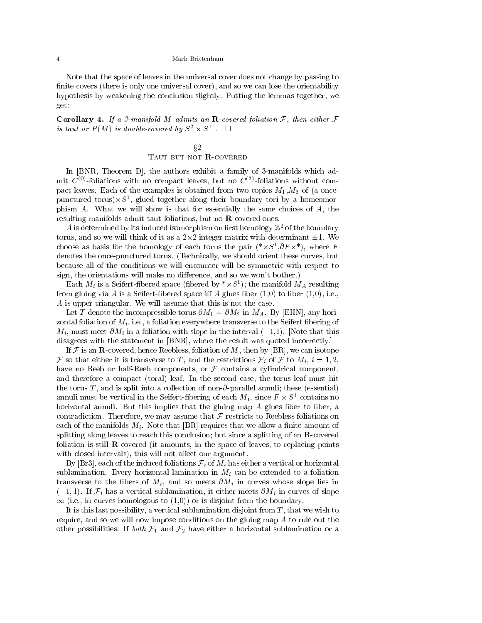Note that the space of leaves in the universal cover does not change by passing to finite covers (there is only one universal cover), and so we can lose the orientability hypothesis by weakening the conclusion slightly. Putting the lemmas together, we get:

Corollary 4. If a 3-manifold M admits an R-covered foliation  $F$ , then either  $F$ is taut or  $P(M)$  is abuble-covered by  $S^-\times S^-$ .  $\square$ 

$$
\S2
$$
  
Taut but not **R**-coverred

In [BNR, Theorem D], the authors exhibit a family of 3-manifolds which admit  $C^{(0)}$ -foliations with no compact leaves, but no  $C^{(2)}$ -foliations without compact leaves. Each of the examples is obtained from two copies  $M_1, M_2$  of (a oncepunctured torus) $\times$ 5", glued together along their boundary tori by a homeomorphism  $A$ . What we will show is that for essentially the same choices of  $A$ , the resulting manifolds admit taut foliations, but no R-covered ones.

A is determined by its induced isomorphism on first homology  $\mathbb{Z}^2$  of the boundary torus, and so we will think of it as a  $2 \times 2$  integer matrix with determinant  $\pm 1$ . We choose as pasis for the homology of each torus the pair ( $\times$ 5,  $\rho$ F $\times$ ), where  $F$ denotes the once-punctured torus. (Technically, we should orient these curves, but because all of the conditions we will encounter will be symmetric with respect to sign, the orientations will make no difference, and so we won't bother.)

Each  $M_i$  is a Seifert-Hoered space (hoered by  $\Delta S^*$  ); the manifold  $M_A$  resulting from gluing via A is a Seifert-fibered space iff A glues fiber  $(1,0)$  to fiber  $(1,0)$ , i.e., A is upper triangular. We will assume that this is not the case.

Let T denote the incompressible torus  $\partial M_1 = \partial M_2$  in  $M_A$ . By [EHN], any horizontal foliation of  $M_i$ , i.e., a foliation everywhere transverse to the Seifert fibering of  $M_i$ , must meet  $\partial M_i$  in a foliation with slope in the interval  $(-1,1)$ . Note that this disagrees with the statement in [BNR], where the result was quoted incorrectly.]

If F is an **R**-covered, hence Reebless, foliation of M, then by [BR], we can isotope F so that either it is transverse to 1, and the restrictions  $\mathcal{F}_i$  or F to  $M_i, \, i=1,2,$ have no Reeb or half-Reeb components, or  $\mathcal F$  contains a cylindrical component, and therefore a compact (toral) leaf. In the second case, the torus leaf must hit the torus T, and is split into a collection of non- $\partial$ -parallel annuli; these (essential) annuli must be vertical in the Seliert-Hoering of each  $M_i$ , since  $F \times S^1$  contains no horizontal annuli. But this implies that the gluing map  $A$  glues fiber to fiber, a contradiction. Therefore, we may assume that  $\mathcal F$  restricts to Reebless foliations on each of the manifolds  $M_i$ . Note that [BR] requires that we allow a finite amount of splitting along leaves to reach this conclusion; but since a splitting of an R-covered foliation is still R-covered (it amounts, in the space of leaves, to replacing points with closed intervals), this will not affect our argument.

By [Br3], each of the induced foliations  $\mathcal{F}_i$  of  $M_i$  has either a vertical or horizontal sublamination. Every horizontal lamination in  $M_i$  can be extended to a foliation transverse to the fibers of  $M_i$ , and so meets  $\partial M_i$  in curves whose slope lies in  $(-1, 1)$ . If  $\mathcal{F}_i$  has a vertical sublamination, it either meets  $\partial M_i$  in curves of slope  $\infty$  (i.e., in curves homologous to  $(1,0)$ ) or is disjoint from the boundary.

It is this last possibility, a vertical sublamination disjoint from  $T$ , that we wish to require, and so we will now impose conditions on the gluing map A to rule out the other possibilities. If both  $\mathcal{F}_1$  and  $\mathcal{F}_2$  have either a horizontal sublamination or a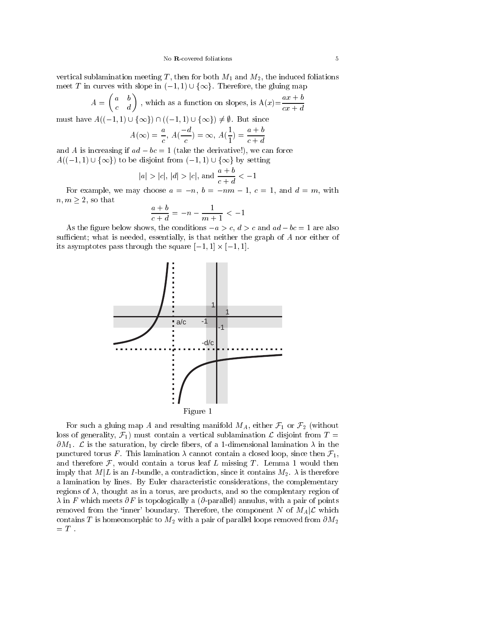vertical subsets then for both M1 and M2, then for both M1 and M2, the induced for both M1 and M2, the induced foliations of  $\mathbf{r}$ vertical sublamination meeting T, then for both  $M_1$  and  $M_2$ , the induced foliations<br>meet T in curves with slope in  $(-1,1) \cup \{\infty\}$ . Therefore, the gluing map

$$
A = \begin{pmatrix} a & b \\ c & d \end{pmatrix}
$$
, which as a function on slopes, is  $A(x) = \frac{ax + b}{cx + d}$ 

must have  $A((-1, 1) \cup {\infty}) \cap ((-1, 1) \cup {\infty}) \neq \emptyset$ . But since

$$
A(\infty) = \frac{a}{c}, A(\frac{-d}{c}) = \infty, A(\frac{1}{1}) = \frac{a+b}{c+d}
$$

and A is increasing if  $aa - bc = 1$  (take the derivative!), we can force and A is increasing if  $ad - bc = 1$  (take the derivative!), we can force  $A((-1,1) \cup {\infty})$  to be disjoint from  $(-1,1) \cup {\infty}$  by setting

$$
|a| > |c|, |d| > |c|, \text{ and } \frac{a+b}{c+d} < -1
$$

For example, we may choose  $a = -n$ ,  $b = -nm - 1$ ,  $c = 1$ , and  $d = m$ , with  $n, m > 2$ , so that

$$
\frac{a+b}{c+d} = -n - \frac{1}{m+1} < -1
$$

As the figure below shows, the conditions  $-a > c$ ,  $d > c$  and  $ad - bc = 1$  are also sufficient; what is needed, essentially, is that neither the graph of  $A$  nor either of its asymptotes pass through the square  $[-1, 1] \times [-1, 1]$ .



For such a gluing map A and resulting manifold  $M_A$ , either  $\mathcal{F}_1$  or  $\mathcal{F}_2$  (without loss of generality,  $\mathcal{F}_1$ ) must contain a vertical sublamination  $\mathcal L$  disjoint from  $T =$  $\partial M_1$ .  $\mathcal L$  is the saturation, by circle fibers, of a 1-dimensional lamination  $\lambda$  in the punctured torus F. This lamination  $\lambda$  cannot contain a closed loop, since then  $\mathcal{F}_1$ , and therefore  $\mathcal{F}$ , would contain a torus leaf L missing T. Lemma 1 would then imply that  $M/L$  is an I-bundle, a contradiction, since it contains  $M_2$ .  $\lambda$  is therefore a lamination by lines. By Euler characteristic considerations, the complementary regions of  $\lambda$ , thought as in a torus, are products, and so the complentary region of  $\lambda$  in F which meets  $\partial F$  is topologically a ( $\partial$ -parallel) annulus, with a pair of points removed from the 'inner' boundary. Therefore, the component N of  $M_A|\mathcal{L}$  which contains T is homeomorphic to  $M_2$  with a pair of parallel loops removed from  $\partial M_2$  $= T$ .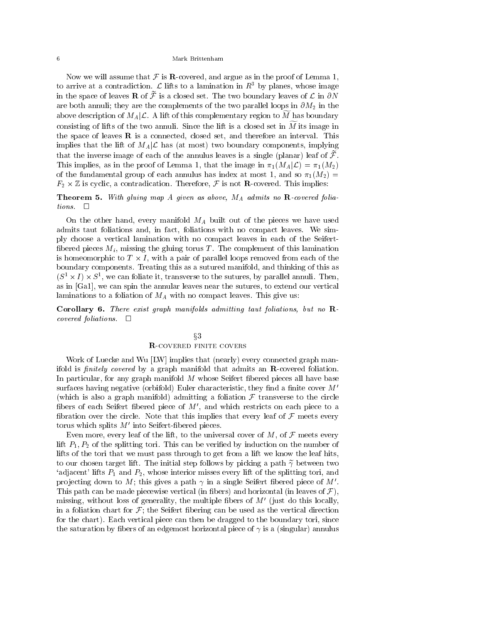Now we will assume that  $\mathcal F$  is **R**-covered, and argue as in the proof of Lemma 1, to arrive at a contradiction.  $\mathcal L$  lifts to a lamination in  $R^3$  by planes, whose image in the space of leaves **R** of  $\widetilde{\mathcal{F}}$  is a closed set. The two boundary leaves of  $\mathcal{L}$  in  $\partial N$ are both annuli; they are the complements of the two parallel loops in  $\partial M_2$  in the above description of  $M_A|\mathcal{L}$ . A lift of this complementary region to M has boundary consisting of lifts of the two annuli. Since the lift is a closed set in  $\widetilde{M}$  its image in the space of leaves  **is a connected, closed set, and therefore an interval. This** implies that the lift of  $M_A|\mathcal{L}$  has (at most) two boundary components, implying that the inverse image of each of the annulus leaves is a single (planar) leaf of  $\widetilde{\mathcal{F}}$ . This implies, as in the proof of Lemma 1, that the image in  $\pi_1(M_A|\mathcal{L}) = \pi_1(M_2)$ of the fundamental group of each annulus has index at most 1, and so  $\pi_1(M_2)$  =  $r_2 \times \mathbb{Z}$  is cyclic, a contradication. Therefore, F is not  $\mathbf{R}$ -covered. This implies:

**Theorem 5.** With gluing map A given as above,  $M_A$  admits no  $\mathbb{R}$ -covered foliations.  $\Box$ 

On the other hand, every manifold  $M_A$  built out of the pieces we have used admits taut foliations and, in fact, foliations with no compact leaves. We simply choose a vertical lamination with no compact leaves in each of the Seifert fibered pieces  $M_i$ , missing the gluing torus T. The complement of this lamination is nomeomorphic to  $I \times I$ , with a pair of parallel loops removed from each of the  $\,$ boundary components. Treating this as a sutured manifold, and thinking of this as  $(S^* \times I) \times S^*$ , we can foliate it, transverse to the sutures, by parallel annuli. Then, as in [Ga1], we can spin the annular leaves near the sutures, to extend our vertical laminations to a foliation of  $M_A$  with no compact leaves. This give us:

Corollary 6. There exist graph manifolds admitting taut foliations, but no R covered foliations.  $\Box$ 

# $\S 3$ R-covered finite covers

Work of Luecke and Wu [LW] implies that (nearly) every connected graph manifold is *finitely covered* by a graph manifold that admits an  $\mathbf{R}$ -covered foliation. In particular, for any graph manifold  $M$  whose Seifert fibered pieces all have base surfaces having negative (orbifold) Euler characteristic, they find a finite cover  $M'$ (which is also a graph manifold) admitting a foliation  $\mathcal F$  transverse to the circle fibers of each Seifert fibered piece of  $M'$ , and which restricts on each piece to a fibration over the circle. Note that this implies that every leaf of  $\mathcal F$  meets every torus which splits  $M'$  into Seifert-fibered pieces.

Even more, every leaf of the lift, to the universal cover of  $M$ , of  $\mathcal F$  meets every lift  $P_1, P_2$  of the splitting tori. This can be verified by induction on the number of lifts of the tori that we must pass through to get from a lift we know the leaf hits, to our chosen target lift. The initial step follows by picking a path  $\tilde{\gamma}$  between two 'adjacent' lifts  $P_1$  and  $P_2$ , whose interior misses every lift of the splitting tori, and projecting down to M; this gives a path  $\gamma$  in a single Seifert fibered piece of M'. This path can be made piecewise vertical (in fibers) and horizontal (in leaves of  $\mathcal{F}$ ), missing, without loss of generality, the multiple fibers of  $M'$  (just do this locally, in a foliation chart for  $\mathcal{F}$ ; the Seifert fibering can be used as the vertical direction for the chart). Each vertical piece can then be dragged to the boundary tori, since the saturation by fibers of an edgemost horizontal piece of  $\gamma$  is a (singular) annulus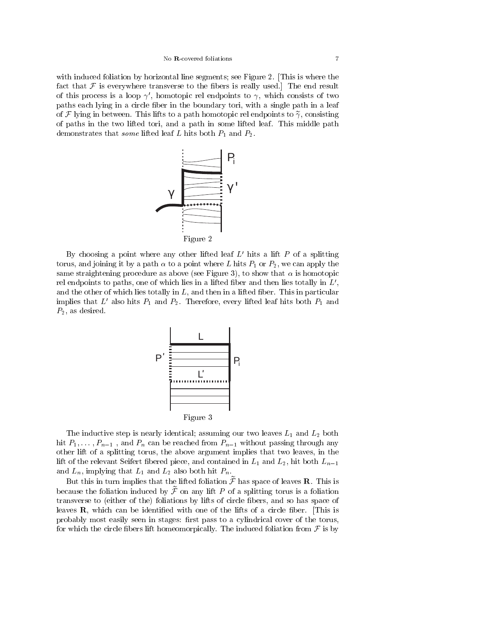with induced foliation by horizontal line segments; see Figure 2. [This is where the fact that  $\mathcal F$  is everywhere transverse to the fibers is really used.] The end result of this process is a loop  $\gamma'$ , homotopic rel endpoints to  $\gamma$ , which consists of two paths each lying in a circle ber in the boundary tori, with a single path in a leaf of F lying in between. This lifts to a path homotopic rel endpoints to  $\tilde{\gamma}$ , consisting of paths in the two lifted tori, and a path in some lifted leaf. This middle path demonstrates that *some* lifted leaf L hits both  $P_1$  and  $P_2$ .



By choosing a point where any other lifted leaf  $L'$  hits a lift P of a splitting torus, and joining it by a path  $\alpha$  to a point where L hits  $P_1$  or  $P_2$ , we can apply the same straightening procedure as above (see Figure 3), to show that  $\alpha$  is homotopic rel endpoints to paths, one of which lies in a lifted fiber and then lies totally in  $L'$ , and the other of which lies totally in  $L$ , and then in a lifted fiber. This in particular implies that  $L'$  also hits  $P_1$  and  $P_2$ . Therefore, every lifted leaf hits both  $P_1$  and  $P_2$ , as desired.



The inductive step is nearly identical; assuming our two leaves  $L_1$  and  $L_2$  both hit  $P_1,\ldots,P_{n-1}$ , and  $P_n$  can be reached from  $P_{n-1}$  without passing through any other lift of a splitting torus, the above argument implies that two leaves, in the lift of the relevant Seifert fibered piece, and contained in  $L_1$  and  $L_2$ , hit both  $L_{n-1}$ and  $L_n$ , implying that  $L_1$  and  $L_2$  also both hit  $P_n$ .

But this in turn implies that the lifted foliation  $\widetilde{\mathcal{F}}$  has space of leaves **R**. This is because the foliation induced by  $\widetilde{\mathcal{F}}$  on any lift P of a splitting torus is a foliation transverse to (either of the) foliations by lifts of circle bers, and so has space of leaves **, which can be identified with one of the lifts of a circle fiber. [This is** probably most easily seen in stages: first pass to a cylindrical cover of the torus, for which the circle fibers lift homeomorpically. The induced foliation from  $\mathcal F$  is by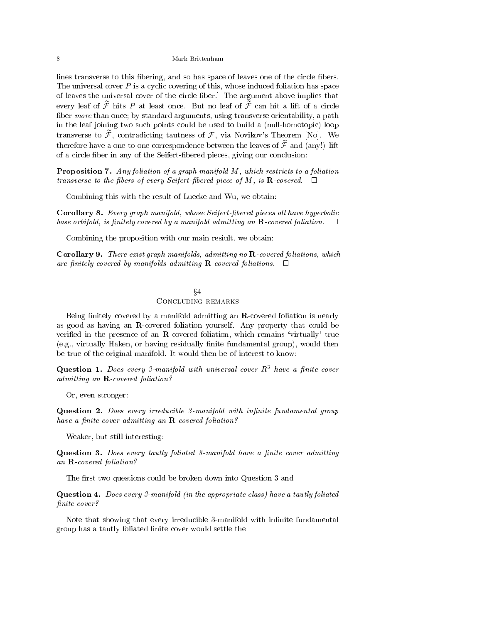lines transverse to this bering, and so has space of leaves one of the circle bers. The universal cover  $P$  is a cyclic covering of this, whose induced foliation has space of leaves the universal cover of the circle ber.] The argument above implies that every leaf of  $\widetilde{\mathcal{F}}$  hits P at least once. But no leaf of  $\widetilde{\mathcal{F}}$  can hit a lift of a circle fiber more than once; by standard arguments, using transverse orientability, a path in the leaf joining two such points could be used to build a (null-homotopic) loop transverse to  $\widetilde{\mathcal{F}}$ , contradicting tautness of  $\mathcal{F}$ , via Novikov's Theorem [No]. We therefore have a one-to-one correspondence between the leaves of  $\widetilde{\mathcal{F}}$  and (any!) lift of a circle ber in any of the Seifert-bered pieces, giving our conclusion:

**Proposition 7.** Any foliation of a graph manifold  $M$ , which restricts to a foliation transverse to the fibers of every Seifert-fibered piece of M, is  $\mathbf{R}$ -covered.  $\Box$ 

Combining this with the result of Luecke and Wu, we obtain:

**Corollary 8.** Every graph manifold, whose Seifert-fibered pieces all have hyperbolic base orbifold, is finitely covered by a manifold admitting an  $\mathbb{R}$ -covered foliation.

Combining the proposition with our main resiult, we obtain:

Corollary 9. There exist graph manifolds, admitting no R-covered foliations, which are finitely covered by manifolds admitting  $\mathbf R$ -covered foliations.  $\Box$ 

# $§4$ Concluding remarks

Being finitely covered by a manifold admitting an **-covered foliation is nearly** as good as having an R-covered foliation yourself. Any property that could be verified in the presence of an  $\mathbb{R}$ -covered foliation, which remains 'virtually' true  $(e.g., virtually Haken, or having residuals finite fundamental group), would then$ be true of the original manifold. It would then be of interest to know:

Question 1. Does every 3-manifold with universal cover  $R<sup>3</sup>$  have a finite cover admitting an R-covered foliation?

Or, even stronger:

Question 2. Does every irreducible 3-manifold with infinite fundamental group have a finite cover admitting an  $\bf{R}$ -covered foliation?

Weaker, but still interesting:

Question 3. Does every tautly foliated 3-manifold have a finite cover admitting an R-covered foliation?

The first two questions could be broken down into Question 3 and

Question 4. Does every 3-manifold (in the appropriate class) have a tautly foliated finite cover?

Note that showing that every irreducible 3-manifold with infinite fundamental group has a tautly foliated nite cover would settle the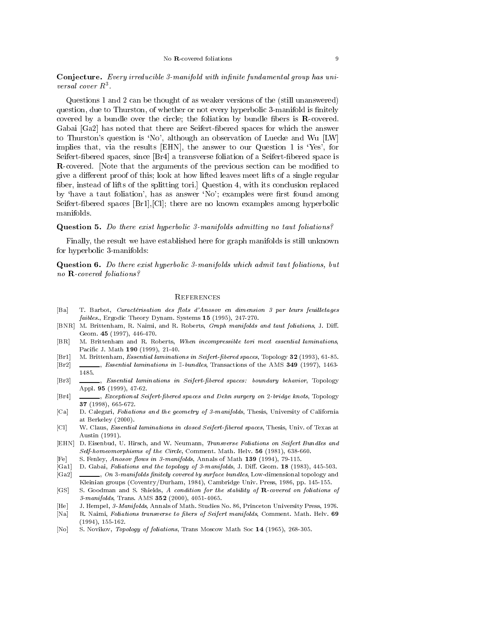## Conjecture. Every irreducible 3-manifold with infinite fundamental group has universal cover  $R^3$ .

Questions 1 and 2 can be thought of as weaker versions of the (still unanswered) question, due to Thurston, of whether or not every hyperbolic 3-manifold is finitely covered by a bundle over the circle; the foliation by bundle fibers is **-covered.** Gabai [Ga2] has noted that there are Seifert-bered spaces for which the answer to Thurston's question is`No', although an observation of Luecke and Wu [LW] implies that, via the results [EHN], the answer to our Question 1 is `Yes', for Seifert-bered spaces, since [Br4] a transverse foliation of a Seifert-bered space is **R**-covered. Note that the arguments of the previous section can be modified to give a different proof of this; look at how lifted leaves meet lifts of a single regular ber, instead of lifts of the splitting tori.] Question 4, with its conclusion replaced by 'have a taut foliation', has as answer 'No'; examples were first found among Seifert-bered spaces [Br1],[Cl]; there are no known examples among hyperbolic manifolds.

### Question 5. Do there exist hyperbolic 3-manifolds admitting no taut foliations?

Finally, the result we have established here for graph manifolds is still unknown for hyperbolic 3-manifolds:

Question 6. Do there exist hyperbolic 3-manifolds which admit taut foliations, but no R-covered foliations?

## **REFERENCES**

- [Ba] T. Barbot, Caractérisation des flots d'Anosov en dimension 3 par leurs feuilletages faibles., Ergodic Theory Dynam. Systems <sup>15</sup> (1995), 247-270.
- [BNR] M. Brittenham, R. Naimi, and R. Roberts, Graph manifolds and taut foliations, J. Diff. Geom. <sup>45</sup> (1997), 446-470.
- [BR] M. Brittenham and R. Roberts, When incompressible tori meet essential laminations, Pacic J. Math <sup>190</sup> (1999), 21-40.
- [Br1] M. Brittenham, Essential laminations in Seifert-bered spaces, Topology <sup>32</sup> (1993), 61-85.
- [Br2] , Essential laminations in I-bundles, Transactions of the AMS 349 (1997), 1463-1485
- [Br3] \_\_\_\_, Essential laminations in Seifert-fibered spaces: boundary behavior, Topology Appl. <sup>95</sup> (1999), 47-62.
- [Br4] , Exceptional Seifert-fibered spaces and Dehn surgery on 2-bridge knots, Topology <sup>37</sup> (1998), 665-672.
- [Ca] D. Calegari, Foliations and the geometry of 3-manifolds, Thesis, University of California at Berkeley (2000).
- [Cl] W. Claus, *Essential laminations in closed Seifert-fibered spaces*, Thesis, Univ. of Texas at Austin (1991).
- [EHN] D. Eisenbud, U. Hirsch, and W. Neumann, Transverse Foliations on Seifert Bundles and Self-homeomorphisms of the Circle, Comment. Math. Helv. 56 (1981), 638-660.
- [Fe] S. Fenley, Anosov flows in 3-manifolds, Annals of Math 139 (1994), 79-115.
- [Ga1] D. Gabai, Foliations and the topology of 3-manifolds, J. Diff. Geom. 18 (1983), 445-503.
- [Ga2]  $\_\_\_\_$ , On 3-manifolds finitely covered by surface bundles, Low-dimensional topology and Kleinian groups (Coventry/Durham, 1984), Cambridge Univ. Press, 1986, pp. 145-155.
- [GS] S. Goodman and S. Shields, A condition for the stability of R-covered on foliations of 3-manifolds, Trans. AMS <sup>352</sup> (2000), 4051-4065.
- [He] J. Hempel, 3-Manifolds, Annals of Math. Studies No. 86, Princeton University Press, 1976.
- [Na] R. Naimi, Foliations transverse to fibers of Seifert manifolds, Comment. Math. Helv. 69  $(1994)$ , 155-162. (1994), 155-162.
- [No] S. Novikov, Topology of foliations, Trans Moscow Math Soc <sup>14</sup> (1965), 268-305.